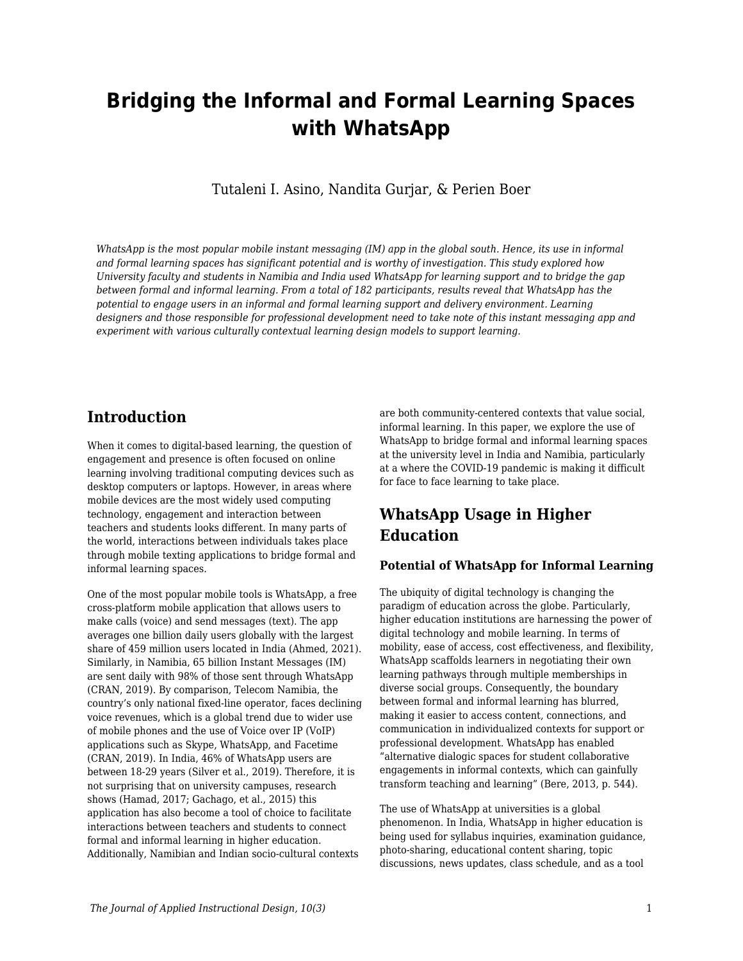# **Bridging the Informal and Formal Learning Spaces with WhatsApp**

Tutaleni I. Asino, Nandita Gurjar, & Perien Boer

*WhatsApp is the most popular mobile instant messaging (IM) app in the global south. Hence, its use in informal and formal learning spaces has significant potential and is worthy of investigation. This study explored how University faculty and students in Namibia and India used WhatsApp for learning support and to bridge the gap between formal and informal learning. From a total of 182 participants, results reveal that WhatsApp has the potential to engage users in an informal and formal learning support and delivery environment. Learning designers and those responsible for professional development need to take note of this instant messaging app and experiment with various culturally contextual learning design models to support learning.*

# **Introduction**

When it comes to digital-based learning, the question of engagement and presence is often focused on online learning involving traditional computing devices such as desktop computers or laptops. However, in areas where mobile devices are the most widely used computing technology, engagement and interaction between teachers and students looks different. In many parts of the world, interactions between individuals takes place through mobile texting applications to bridge formal and informal learning spaces.

One of the most popular mobile tools is WhatsApp, a free cross-platform mobile application that allows users to make calls (voice) and send messages (text). The app averages one billion daily users globally with the largest share of 459 million users located in India (Ahmed, 2021). Similarly, in Namibia, 65 billion Instant Messages (IM) are sent daily with 98% of those sent through WhatsApp (CRAN, 2019). By comparison, Telecom Namibia, the country's only national fixed-line operator, faces declining voice revenues, which is a global trend due to wider use of mobile phones and the use of Voice over IP (VoIP) applications such as Skype, WhatsApp, and Facetime (CRAN, 2019). In India, 46% of WhatsApp users are between 18-29 years (Silver et al., 2019). Therefore, it is not surprising that on university campuses, research shows (Hamad, 2017; Gachago, et al., 2015) this application has also become a tool of choice to facilitate interactions between teachers and students to connect formal and informal learning in higher education. Additionally, Namibian and Indian socio-cultural contexts

are both community-centered contexts that value social, informal learning. In this paper, we explore the use of WhatsApp to bridge formal and informal learning spaces at the university level in India and Namibia, particularly at a where the COVID-19 pandemic is making it difficult for face to face learning to take place.

# **WhatsApp Usage in Higher Education**

### **Potential of WhatsApp for Informal Learning**

The ubiquity of digital technology is changing the paradigm of education across the globe. Particularly, higher education institutions are harnessing the power of digital technology and mobile learning. In terms of mobility, ease of access, cost effectiveness, and flexibility, WhatsApp scaffolds learners in negotiating their own learning pathways through multiple memberships in diverse social groups. Consequently, the boundary between formal and informal learning has blurred, making it easier to access content, connections, and communication in individualized contexts for support or professional development. WhatsApp has enabled "alternative dialogic spaces for student collaborative engagements in informal contexts, which can gainfully transform teaching and learning" (Bere, 2013, p. 544).

The use of WhatsApp at universities is a global phenomenon. In India, WhatsApp in higher education is being used for syllabus inquiries, examination guidance, photo-sharing, educational content sharing, topic discussions, news updates, class schedule, and as a tool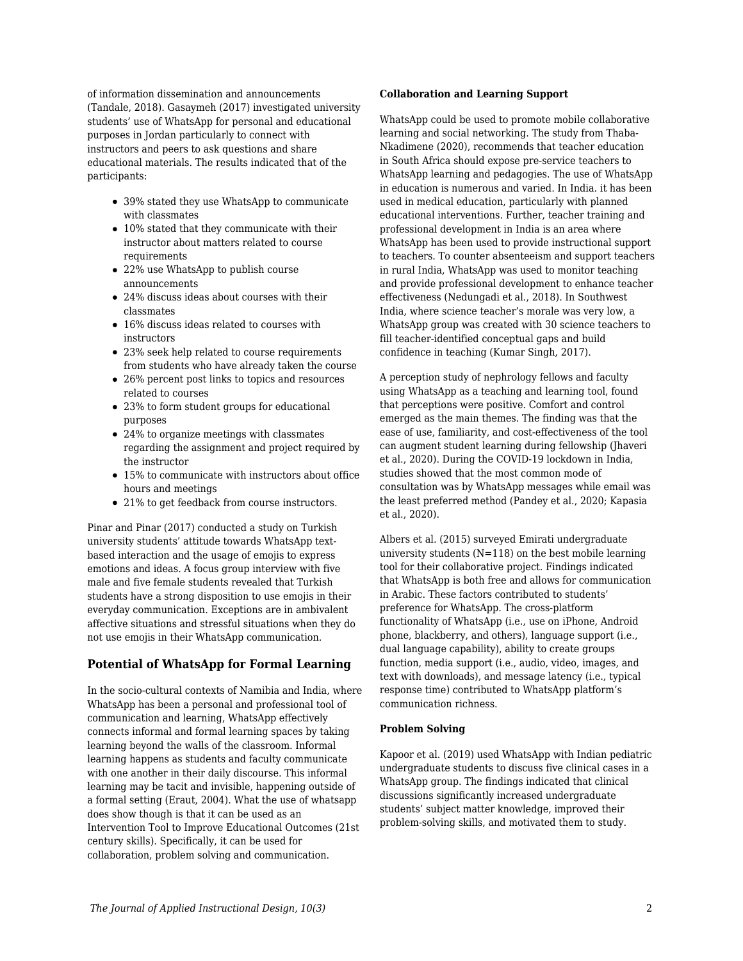of information dissemination and announcements (Tandale, 2018). Gasaymeh (2017) investigated university students' use of WhatsApp for personal and educational purposes in Jordan particularly to connect with instructors and peers to ask questions and share educational materials. The results indicated that of the participants:

- 39% stated they use WhatsApp to communicate with classmates
- 10% stated that they communicate with their instructor about matters related to course requirements
- 22% use WhatsApp to publish course announcements
- 24% discuss ideas about courses with their classmates
- 16% discuss ideas related to courses with instructors
- 23% seek help related to course requirements from students who have already taken the course
- 26% percent post links to topics and resources related to courses
- 23% to form student groups for educational purposes
- 24% to organize meetings with classmates regarding the assignment and project required by the instructor
- 15% to communicate with instructors about office hours and meetings
- 21% to get feedback from course instructors.

Pinar and Pinar (2017) conducted a study on Turkish university students' attitude towards WhatsApp textbased interaction and the usage of emojis to express emotions and ideas. A focus group interview with five male and five female students revealed that Turkish students have a strong disposition to use emojis in their everyday communication. Exceptions are in ambivalent affective situations and stressful situations when they do not use emojis in their WhatsApp communication.

### **Potential of WhatsApp for Formal Learning**

In the socio-cultural contexts of Namibia and India, where WhatsApp has been a personal and professional tool of communication and learning, WhatsApp effectively connects informal and formal learning spaces by taking learning beyond the walls of the classroom. Informal learning happens as students and faculty communicate with one another in their daily discourse. This informal learning may be tacit and invisible, happening outside of a formal setting (Eraut, 2004). What the use of whatsapp does show though is that it can be used as an Intervention Tool to Improve Educational Outcomes (21st century skills). Specifically, it can be used for collaboration, problem solving and communication.

#### **Collaboration and Learning Support**

WhatsApp could be used to promote mobile collaborative learning and social networking. The study from Thaba-Nkadimene (2020), recommends that teacher education in South Africa should expose pre-service teachers to WhatsApp learning and pedagogies. The use of WhatsApp in education is numerous and varied. In India. it has been used in medical education, particularly with planned educational interventions. Further, teacher training and professional development in India is an area where WhatsApp has been used to provide instructional support to teachers. To counter absenteeism and support teachers in rural India, WhatsApp was used to monitor teaching and provide professional development to enhance teacher effectiveness (Nedungadi et al., 2018). In Southwest India, where science teacher's morale was very low, a WhatsApp group was created with 30 science teachers to fill teacher-identified conceptual gaps and build confidence in teaching (Kumar Singh, 2017).

A perception study of nephrology fellows and faculty using WhatsApp as a teaching and learning tool, found that perceptions were positive. Comfort and control emerged as the main themes. The finding was that the ease of use, familiarity, and cost-effectiveness of the tool can augment student learning during fellowship (Jhaveri et al., 2020). During the COVID-19 lockdown in India, studies showed that the most common mode of consultation was by WhatsApp messages while email was the least preferred method (Pandey et al., 2020; Kapasia et al., 2020).

Albers et al. (2015) surveyed Emirati undergraduate university students  $(N=118)$  on the best mobile learning tool for their collaborative project. Findings indicated that WhatsApp is both free and allows for communication in Arabic. These factors contributed to students' preference for WhatsApp. The cross-platform functionality of WhatsApp (i.e., use on iPhone, Android phone, blackberry, and others), language support (i.e., dual language capability), ability to create groups function, media support (i.e., audio, video, images, and text with downloads), and message latency (i.e., typical response time) contributed to WhatsApp platform's communication richness.

### **Problem Solving**

Kapoor et al. (2019) used WhatsApp with Indian pediatric undergraduate students to discuss five clinical cases in a WhatsApp group. The findings indicated that clinical discussions significantly increased undergraduate students' subject matter knowledge, improved their problem-solving skills, and motivated them to study.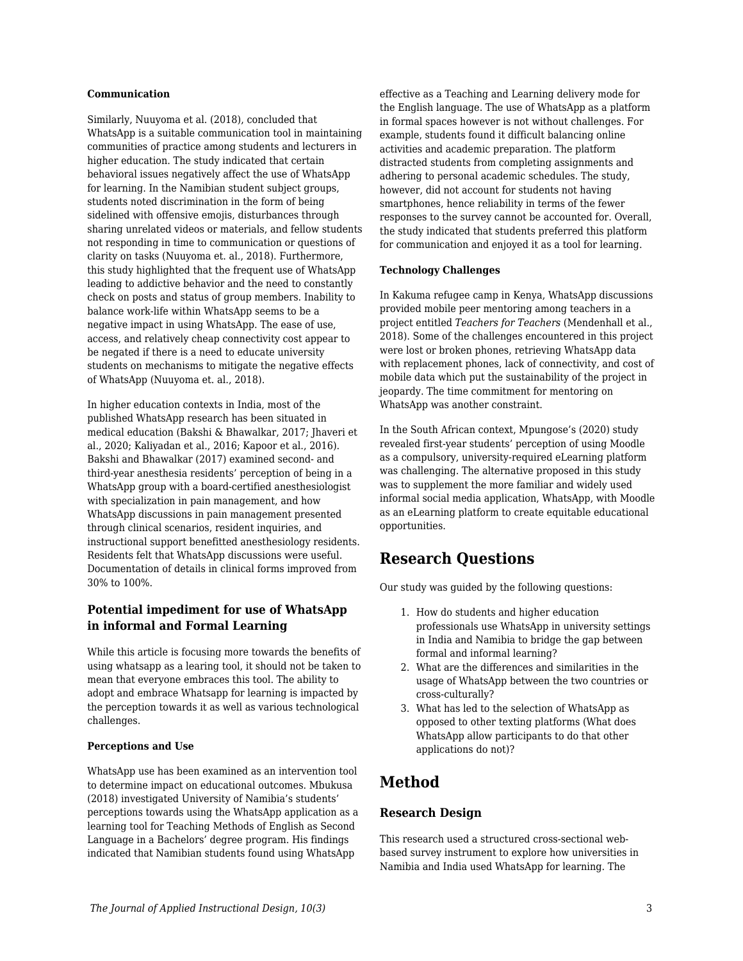#### **Communication**

Similarly, Nuuyoma et al. (2018), concluded that WhatsApp is a suitable communication tool in maintaining communities of practice among students and lecturers in higher education. The study indicated that certain behavioral issues negatively affect the use of WhatsApp for learning. In the Namibian student subject groups, students noted discrimination in the form of being sidelined with offensive emojis, disturbances through sharing unrelated videos or materials, and fellow students not responding in time to communication or questions of clarity on tasks (Nuuyoma et. al., 2018). Furthermore, this study highlighted that the frequent use of WhatsApp leading to addictive behavior and the need to constantly check on posts and status of group members. Inability to balance work-life within WhatsApp seems to be a negative impact in using WhatsApp. The ease of use, access, and relatively cheap connectivity cost appear to be negated if there is a need to educate university students on mechanisms to mitigate the negative effects of WhatsApp (Nuuyoma et. al., 2018).

In higher education contexts in India, most of the published WhatsApp research has been situated in medical education (Bakshi & Bhawalkar, 2017; Jhaveri et al., 2020; Kaliyadan et al., 2016; Kapoor et al., 2016). Bakshi and Bhawalkar (2017) examined second- and third-year anesthesia residents' perception of being in a WhatsApp group with a board-certified anesthesiologist with specialization in pain management, and how WhatsApp discussions in pain management presented through clinical scenarios, resident inquiries, and instructional support benefitted anesthesiology residents. Residents felt that WhatsApp discussions were useful. Documentation of details in clinical forms improved from 30% to 100%.

### **Potential impediment for use of WhatsApp in informal and Formal Learning**

While this article is focusing more towards the benefits of using whatsapp as a learing tool, it should not be taken to mean that everyone embraces this tool. The ability to adopt and embrace Whatsapp for learning is impacted by the perception towards it as well as various technological challenges.

#### **Perceptions and Use**

WhatsApp use has been examined as an intervention tool to determine impact on educational outcomes. Mbukusa (2018) investigated University of Namibia's students' perceptions towards using the WhatsApp application as a learning tool for Teaching Methods of English as Second Language in a Bachelors' degree program. His findings indicated that Namibian students found using WhatsApp

effective as a Teaching and Learning delivery mode for the English language. The use of WhatsApp as a platform in formal spaces however is not without challenges. For example, students found it difficult balancing online activities and academic preparation. The platform distracted students from completing assignments and adhering to personal academic schedules. The study, however, did not account for students not having smartphones, hence reliability in terms of the fewer responses to the survey cannot be accounted for. Overall, the study indicated that students preferred this platform for communication and enjoyed it as a tool for learning.

#### **Technology Challenges**

In Kakuma refugee camp in Kenya, WhatsApp discussions provided mobile peer mentoring among teachers in a project entitled *Teachers for Teachers* (Mendenhall et al., 2018). Some of the challenges encountered in this project were lost or broken phones, retrieving WhatsApp data with replacement phones, lack of connectivity, and cost of mobile data which put the sustainability of the project in jeopardy. The time commitment for mentoring on WhatsApp was another constraint.

In the South African context, Mpungose's (2020) study revealed first-year students' perception of using Moodle as a compulsory, university-required eLearning platform was challenging. The alternative proposed in this study was to supplement the more familiar and widely used informal social media application, WhatsApp, with Moodle as an eLearning platform to create equitable educational opportunities.

# **Research Questions**

Our study was guided by the following questions:

- 1. How do students and higher education professionals use WhatsApp in university settings in India and Namibia to bridge the gap between formal and informal learning?
- 2. What are the differences and similarities in the usage of WhatsApp between the two countries or cross-culturally?
- 3. What has led to the selection of WhatsApp as opposed to other texting platforms (What does WhatsApp allow participants to do that other applications do not)?

# **Method**

### **Research Design**

This research used a structured cross-sectional webbased survey instrument to explore how universities in Namibia and India used WhatsApp for learning. The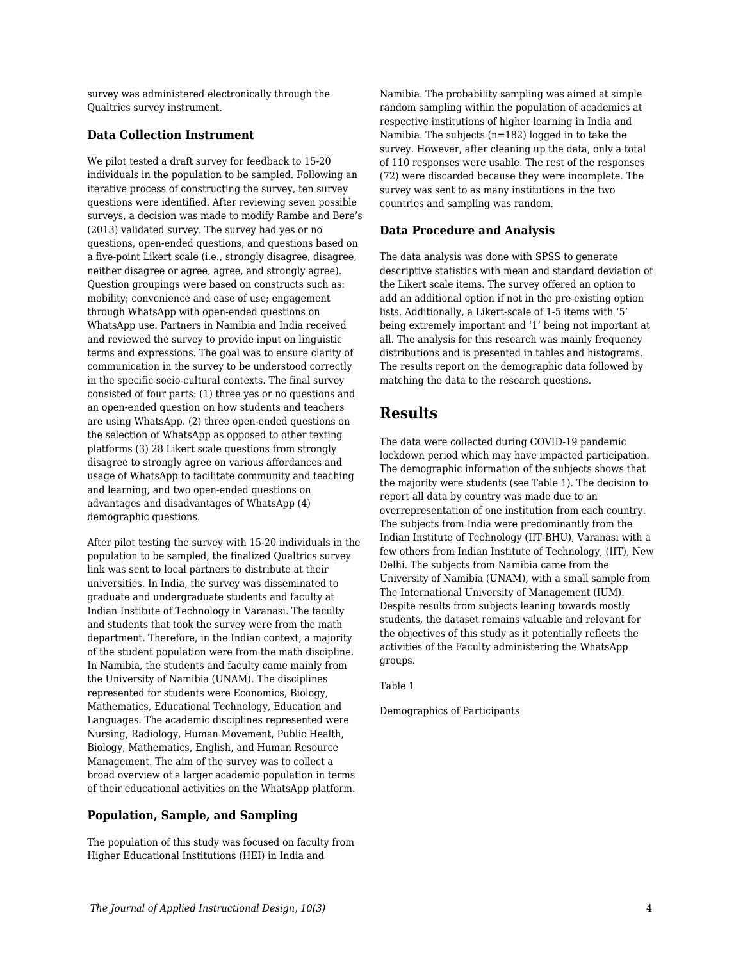survey was administered electronically through the Qualtrics survey instrument.

### **Data Collection Instrument**

We pilot tested a draft survey for feedback to 15-20 individuals in the population to be sampled. Following an iterative process of constructing the survey, ten survey questions were identified. After reviewing seven possible surveys, a decision was made to modify Rambe and Bere's (2013) validated survey. The survey had yes or no questions, open-ended questions, and questions based on a five-point Likert scale (i.e., strongly disagree, disagree, neither disagree or agree, agree, and strongly agree). Question groupings were based on constructs such as: mobility; convenience and ease of use; engagement through WhatsApp with open-ended questions on WhatsApp use. Partners in Namibia and India received and reviewed the survey to provide input on linguistic terms and expressions. The goal was to ensure clarity of communication in the survey to be understood correctly in the specific socio-cultural contexts. The final survey consisted of four parts: (1) three yes or no questions and an open-ended question on how students and teachers are using WhatsApp. (2) three open-ended questions on the selection of WhatsApp as opposed to other texting platforms (3) 28 Likert scale questions from strongly disagree to strongly agree on various affordances and usage of WhatsApp to facilitate community and teaching and learning, and two open-ended questions on advantages and disadvantages of WhatsApp (4) demographic questions.

After pilot testing the survey with 15-20 individuals in the population to be sampled, the finalized Qualtrics survey link was sent to local partners to distribute at their universities. In India, the survey was disseminated to graduate and undergraduate students and faculty at Indian Institute of Technology in Varanasi. The faculty and students that took the survey were from the math department. Therefore, in the Indian context, a majority of the student population were from the math discipline. In Namibia, the students and faculty came mainly from the University of Namibia (UNAM). The disciplines represented for students were Economics, Biology, Mathematics, Educational Technology, Education and Languages. The academic disciplines represented were Nursing, Radiology, Human Movement, Public Health, Biology, Mathematics, English, and Human Resource Management. The aim of the survey was to collect a broad overview of a larger academic population in terms of their educational activities on the WhatsApp platform.

### **Population, Sample, and Sampling**

The population of this study was focused on faculty from Higher Educational Institutions (HEI) in India and

Namibia. The probability sampling was aimed at simple random sampling within the population of academics at respective institutions of higher learning in India and Namibia. The subjects (n=182) logged in to take the survey. However, after cleaning up the data, only a total of 110 responses were usable. The rest of the responses (72) were discarded because they were incomplete. The survey was sent to as many institutions in the two countries and sampling was random.

### **Data Procedure and Analysis**

The data analysis was done with SPSS to generate descriptive statistics with mean and standard deviation of the Likert scale items. The survey offered an option to add an additional option if not in the pre-existing option lists. Additionally, a Likert-scale of 1-5 items with '5' being extremely important and '1' being not important at all. The analysis for this research was mainly frequency distributions and is presented in tables and histograms. The results report on the demographic data followed by matching the data to the research questions.

# **Results**

The data were collected during COVID-19 pandemic lockdown period which may have impacted participation. The demographic information of the subjects shows that the majority were students (see Table 1). The decision to report all data by country was made due to an overrepresentation of one institution from each country. The subjects from India were predominantly from the Indian Institute of Technology (IIT-BHU), Varanasi with a few others from Indian Institute of Technology, (IIT), New Delhi. The subjects from Namibia came from the University of Namibia (UNAM), with a small sample from The International University of Management (IUM). Despite results from subjects leaning towards mostly students, the dataset remains valuable and relevant for the objectives of this study as it potentially reflects the activities of the Faculty administering the WhatsApp groups.

Table 1

Demographics of Participants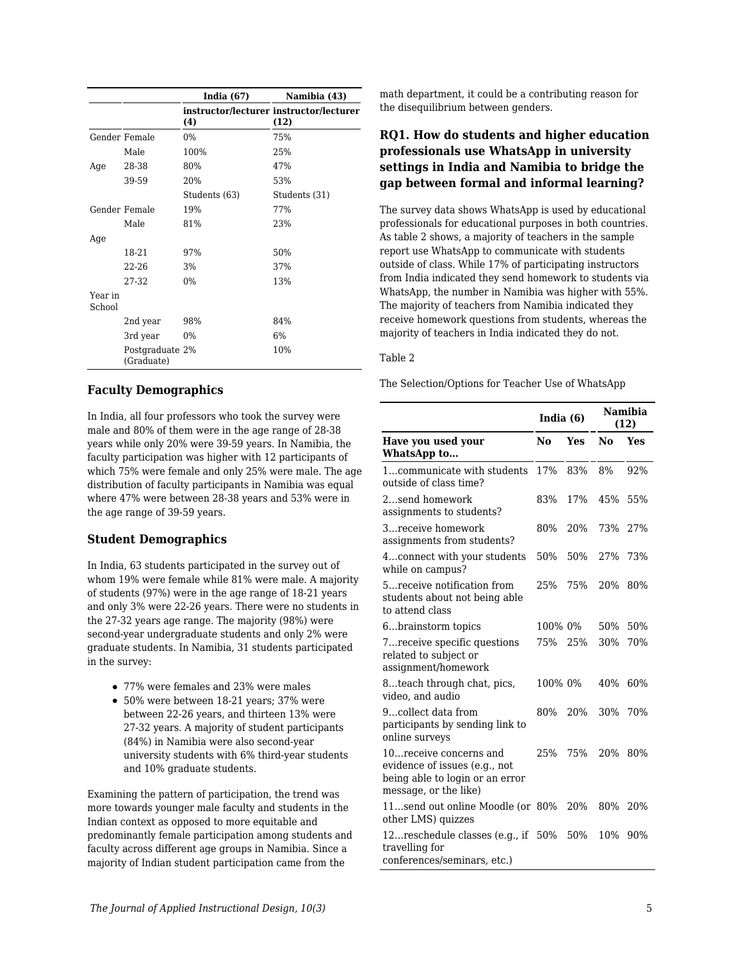|                   |                               | India $(67)$  | Namibia (43)                                    |
|-------------------|-------------------------------|---------------|-------------------------------------------------|
|                   |                               | (4)           | instructor/lecturer instructor/lecturer<br>(12) |
|                   | Gender Female                 | $0\%$         | 75%                                             |
|                   | Male                          | 100%          | 25%                                             |
| Age               | 28-38                         | 80%           | 47%                                             |
|                   | 39-59                         | 20%           | 53%                                             |
|                   |                               | Students (63) | Students (31)                                   |
|                   | Gender Female                 | 19%           | 77%                                             |
|                   | Male                          | 81%           | 23%                                             |
| Age               |                               |               |                                                 |
|                   | 18-21                         | 97%           | 50%                                             |
|                   | 22-26                         | 3%            | 37%                                             |
|                   | 27-32                         | $0\%$         | 13%                                             |
| Year in<br>School |                               |               |                                                 |
|                   | 2nd year                      | 98%           | 84%                                             |
|                   | 3rd year                      | $0\%$         | 6%                                              |
|                   | Postgraduate 2%<br>(Graduate) |               | 10%                                             |

### **Faculty Demographics**

In India, all four professors who took the survey were male and 80% of them were in the age range of 28-38 years while only 20% were 39-59 years. In Namibia, the faculty participation was higher with 12 participants of which 75% were female and only 25% were male. The age distribution of faculty participants in Namibia was equal where 47% were between 28-38 years and 53% were in the age range of 39-59 years.

### **Student Demographics**

In India, 63 students participated in the survey out of whom 19% were female while 81% were male. A majority of students (97%) were in the age range of 18-21 years and only 3% were 22-26 years. There were no students in the 27-32 years age range. The majority (98%) were second-year undergraduate students and only 2% were graduate students. In Namibia, 31 students participated in the survey:

- 77% were females and 23% were males
- 50% were between 18-21 years; 37% were between 22-26 years, and thirteen 13% were 27-32 years. A majority of student participants (84%) in Namibia were also second-year university students with 6% third-year students and 10% graduate students.

Examining the pattern of participation, the trend was more towards younger male faculty and students in the Indian context as opposed to more equitable and predominantly female participation among students and faculty across different age groups in Namibia. Since a majority of Indian student participation came from the

math department, it could be a contributing reason for the disequilibrium between genders.

### **RQ1. How do students and higher education professionals use WhatsApp in university settings in India and Namibia to bridge the gap between formal and informal learning?**

The survey data shows WhatsApp is used by educational professionals for educational purposes in both countries. As table 2 shows, a majority of teachers in the sample report use WhatsApp to communicate with students outside of class. While 17% of participating instructors from India indicated they send homework to students via WhatsApp, the number in Namibia was higher with 55%. The majority of teachers from Namibia indicated they receive homework questions from students, whereas the majority of teachers in India indicated they do not.

#### Table 2

The Selection/Options for Teacher Use of WhatsApp

|                                                                                                                      | India (6) |     | Namibia<br>(12) |     |
|----------------------------------------------------------------------------------------------------------------------|-----------|-----|-----------------|-----|
| Have you used your<br>WhatsApp to                                                                                    | No        | Yes | No              | Yes |
| 1communicate with students<br>outside of class time?                                                                 | 17%       | 83% | 8%              | 92% |
| 2send homework<br>assignments to students?                                                                           | 83%       | 17% | 45%             | 55% |
| 3receive homework<br>assignments from students?                                                                      | 80%       | 20% | 73%             | 27% |
| 4connect with your students<br>while on campus?                                                                      | 50%       | 50% | 27%             | 73% |
| 5 receive notification from<br>students about not being able<br>to attend class                                      | 25%       | 75% | 20%             | 80% |
| 6brainstorm topics                                                                                                   | 100% 0%   |     | 50%             | 50% |
| 7 receive specific questions<br>related to subject or<br>assignment/homework                                         | 75%       | 25% | 30%             | 70% |
| 8teach through chat, pics,<br>video, and audio                                                                       | 100% 0%   |     | 40%             | 60% |
| 9collect data from<br>participants by sending link to<br>online surveys                                              | 80%       | 20% | 30%             | 70% |
| 10 receive concerns and<br>evidence of issues (e.g., not<br>being able to login or an error<br>message, or the like) | 25%       | 75% | 20%             | 80% |
| 11send out online Moodle (or 80%<br>other LMS) quizzes                                                               |           | 20% | 80%             | 20% |
| 12reschedule classes (e.g., if<br>travelling for<br>conferences/seminars, etc.)                                      | 50%       | 50% | 10%             | 90% |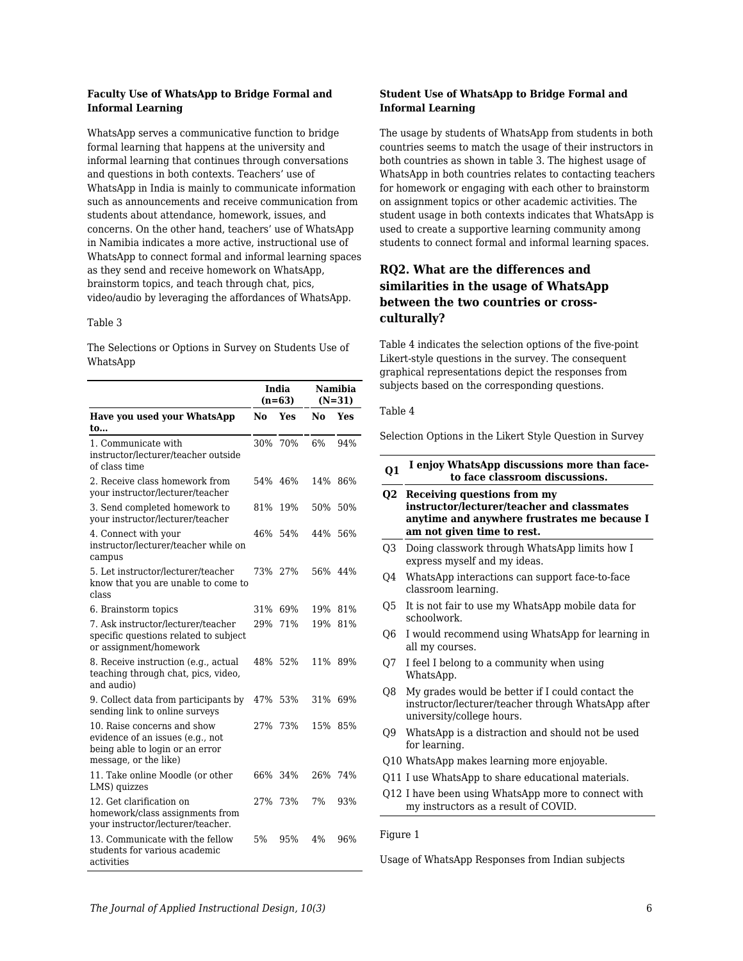#### **Faculty Use of WhatsApp to Bridge Formal and Informal Learning**

WhatsApp serves a communicative function to bridge formal learning that happens at the university and informal learning that continues through conversations and questions in both contexts. Teachers' use of WhatsApp in India is mainly to communicate information such as announcements and receive communication from students about attendance, homework, issues, and concerns. On the other hand, teachers' use of WhatsApp in Namibia indicates a more active, instructional use of WhatsApp to connect formal and informal learning spaces as they send and receive homework on WhatsApp, brainstorm topics, and teach through chat, pics, video/audio by leveraging the affordances of WhatsApp.

#### Table 3

The Selections or Options in Survey on Students Use of WhatsApp

|                                                                                                                             |                | India<br>$(n=63)$ |         | Namibia<br>$(N=31)$ |
|-----------------------------------------------------------------------------------------------------------------------------|----------------|-------------------|---------|---------------------|
| <b>Have you used your WhatsApp</b>                                                                                          | N <sub>0</sub> | Yes               | No      | Yes                 |
| to                                                                                                                          |                |                   |         |                     |
| 1. Communicate with<br>instructor/lecturer/teacher outside<br>of class time                                                 | 30%            | 70%               | 6%      | 94%                 |
| 2. Receive class homework from<br>your instructor/lecturer/teacher                                                          | 54%            | 46%               | 14%     | 86%                 |
| 3. Send completed homework to<br>your instructor/lecturer/teacher                                                           | 81%            | 19%               | 50%     | 50%                 |
| 4. Connect with your<br>instructor/lecturer/teacher while on<br>campus                                                      | 46%            | 54%               | 44%     | 56%                 |
| 5. Let instructor/lecturer/teacher<br>know that you are unable to come to<br>class                                          | 73%            | 27%               | 56% 44% |                     |
| 6. Brainstorm topics                                                                                                        | 31%            | 69%               | 19%     | 81%                 |
| 7. Ask instructor/lecturer/teacher<br>specific questions related to subject<br>or assignment/homework                       | 29%            | 71%               | 19%     | 81%                 |
| 8. Receive instruction (e.g., actual<br>teaching through chat, pics, video,<br>and audio)                                   |                | 48% 52%           |         | 11% 89%             |
| 9. Collect data from participants by<br>sending link to online surveys                                                      | 47%            | 53%               | 31%     | 69%                 |
| 10. Raise concerns and show<br>evidence of an issues (e.g., not<br>being able to login or an error<br>message, or the like) | 27%            | 73%               | 15%     | 85%                 |
| 11. Take online Moodle (or other<br>LMS) quizzes                                                                            | 66%            | 34%               | 26%     | 74%                 |
| 12. Get clarification on<br>homework/class assignments from<br>your instructor/lecturer/teacher.                            | 27%            | 73%               | 7%      | 93%                 |
| 13. Communicate with the fellow<br>students for various academic<br>activities                                              | 5%             | 95%               | 4%      | 96%                 |

#### **Student Use of WhatsApp to Bridge Formal and Informal Learning**

The usage by students of WhatsApp from students in both countries seems to match the usage of their instructors in both countries as shown in table 3. The highest usage of WhatsApp in both countries relates to contacting teachers for homework or engaging with each other to brainstorm on assignment topics or other academic activities. The student usage in both contexts indicates that WhatsApp is used to create a supportive learning community among students to connect formal and informal learning spaces.

### **RQ2. What are the differences and similarities in the usage of WhatsApp between the two countries or crossculturally?**

Table 4 indicates the selection options of the five-point Likert-style questions in the survey. The consequent graphical representations depict the responses from subjects based on the corresponding questions.

#### Table 4

Selection Options in the Likert Style Question in Survey

| Q1             | I enjoy WhatsApp discussions more than face-<br>to face classroom discussions.                                                                                 |
|----------------|----------------------------------------------------------------------------------------------------------------------------------------------------------------|
| Q <sub>2</sub> | <b>Receiving questions from my</b><br>instructor/lecturer/teacher and classmates<br>anytime and anywhere frustrates me because I<br>am not given time to rest. |
| O <sub>3</sub> | Doing classwork through WhatsApp limits how I<br>express myself and my ideas.                                                                                  |
| Q4             | WhatsApp interactions can support face-to-face<br>classroom learning.                                                                                          |
| Q5             | It is not fair to use my WhatsApp mobile data for<br>schoolwork.                                                                                               |
| Q6             | I would recommend using WhatsApp for learning in<br>all my courses.                                                                                            |
| Q7             | I feel I belong to a community when using<br>WhatsApp.                                                                                                         |
| Q8             | My grades would be better if I could contact the<br>instructor/lecturer/teacher through WhatsApp after<br>university/college hours.                            |
| Q9             | WhatsApp is a distraction and should not be used<br>for learning.                                                                                              |
|                | Q10 WhatsApp makes learning more enjoyable.                                                                                                                    |
|                | Q11 I use WhatsApp to share educational materials.                                                                                                             |
|                | Q12 I have been using WhatsApp more to connect with<br>my instructors as a result of COVID.                                                                    |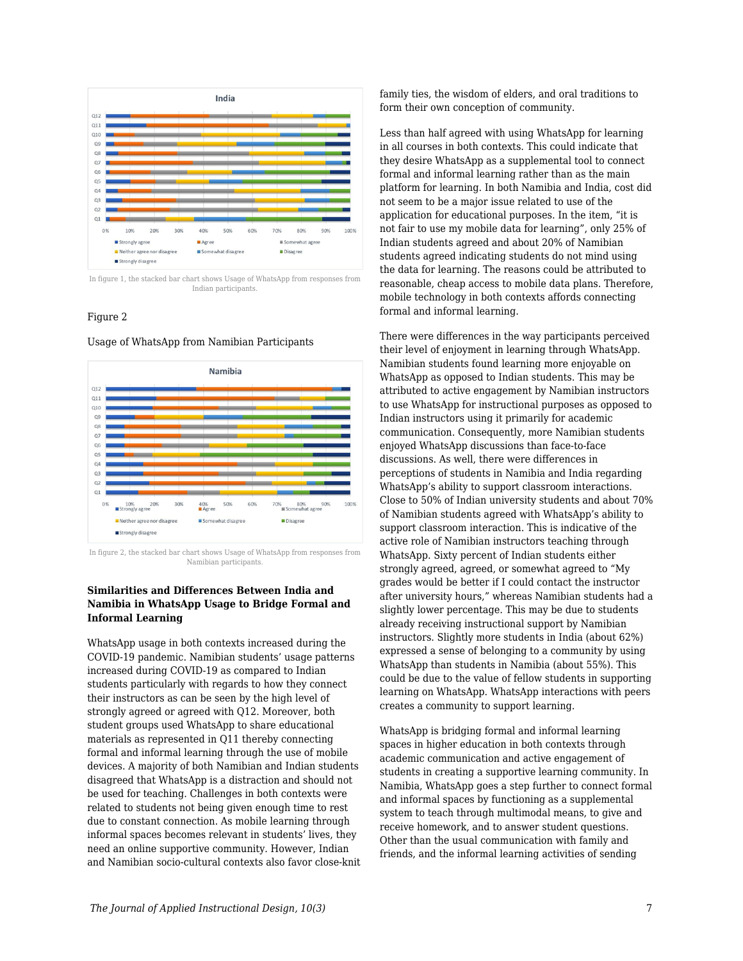

In figure 1, the stacked bar chart shows Usage of WhatsApp from responses from Indian participants.

#### Figure 2

Usage of WhatsApp from Namibian Participants



In figure 2, the stacked bar chart shows Usage of WhatsApp from responses from Namibian participants.

#### **Similarities and Differences Between India and Namibia in WhatsApp Usage to Bridge Formal and Informal Learning**

WhatsApp usage in both contexts increased during the COVID-19 pandemic. Namibian students' usage patterns increased during COVID-19 as compared to Indian students particularly with regards to how they connect their instructors as can be seen by the high level of strongly agreed or agreed with Q12. Moreover, both student groups used WhatsApp to share educational materials as represented in Q11 thereby connecting formal and informal learning through the use of mobile devices. A majority of both Namibian and Indian students disagreed that WhatsApp is a distraction and should not be used for teaching. Challenges in both contexts were related to students not being given enough time to rest due to constant connection. As mobile learning through informal spaces becomes relevant in students' lives, they need an online supportive community. However, Indian and Namibian socio-cultural contexts also favor close-knit family ties, the wisdom of elders, and oral traditions to form their own conception of community.

Less than half agreed with using WhatsApp for learning in all courses in both contexts. This could indicate that they desire WhatsApp as a supplemental tool to connect formal and informal learning rather than as the main platform for learning. In both Namibia and India, cost did not seem to be a major issue related to use of the application for educational purposes. In the item, "it is not fair to use my mobile data for learning", only 25% of Indian students agreed and about 20% of Namibian students agreed indicating students do not mind using the data for learning. The reasons could be attributed to reasonable, cheap access to mobile data plans. Therefore, mobile technology in both contexts affords connecting formal and informal learning.

There were differences in the way participants perceived their level of enjoyment in learning through WhatsApp. Namibian students found learning more enjoyable on WhatsApp as opposed to Indian students. This may be attributed to active engagement by Namibian instructors to use WhatsApp for instructional purposes as opposed to Indian instructors using it primarily for academic communication. Consequently, more Namibian students enjoyed WhatsApp discussions than face-to-face discussions. As well, there were differences in perceptions of students in Namibia and India regarding WhatsApp's ability to support classroom interactions. Close to 50% of Indian university students and about 70% of Namibian students agreed with WhatsApp's ability to support classroom interaction. This is indicative of the active role of Namibian instructors teaching through WhatsApp. Sixty percent of Indian students either strongly agreed, agreed, or somewhat agreed to "My grades would be better if I could contact the instructor after university hours," whereas Namibian students had a slightly lower percentage. This may be due to students already receiving instructional support by Namibian instructors. Slightly more students in India (about 62%) expressed a sense of belonging to a community by using WhatsApp than students in Namibia (about 55%). This could be due to the value of fellow students in supporting learning on WhatsApp. WhatsApp interactions with peers creates a community to support learning.

WhatsApp is bridging formal and informal learning spaces in higher education in both contexts through academic communication and active engagement of students in creating a supportive learning community. In Namibia, WhatsApp goes a step further to connect formal and informal spaces by functioning as a supplemental system to teach through multimodal means, to give and receive homework, and to answer student questions. Other than the usual communication with family and friends, and the informal learning activities of sending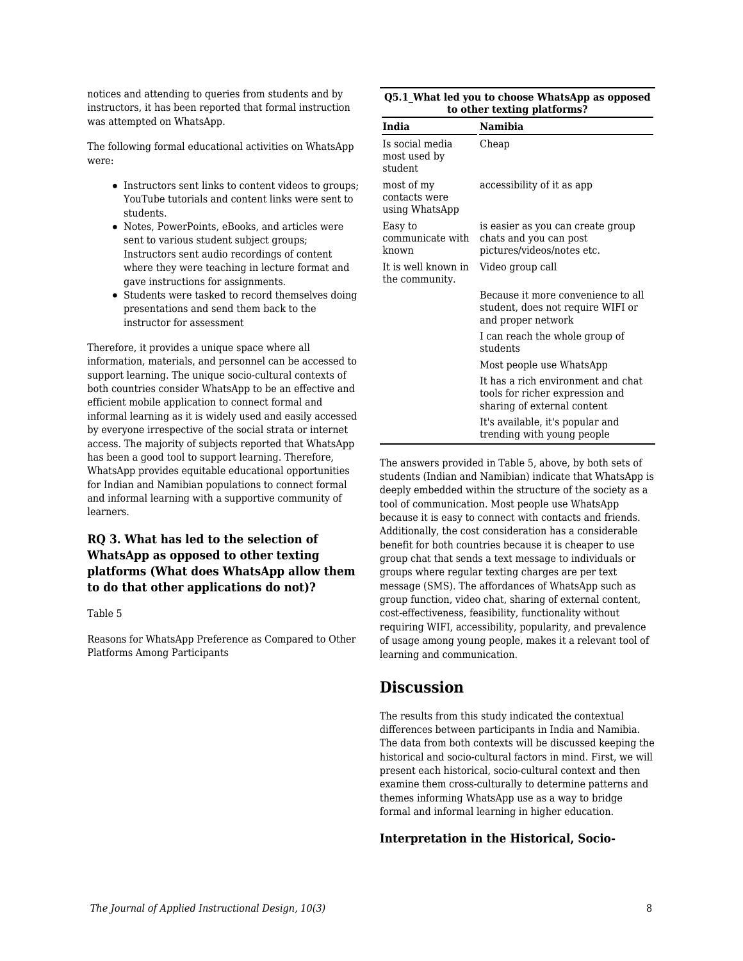notices and attending to queries from students and by instructors, it has been reported that formal instruction was attempted on WhatsApp.

The following formal educational activities on WhatsApp were:

- Instructors sent links to content videos to groups; YouTube tutorials and content links were sent to students.
- Notes, PowerPoints, eBooks, and articles were sent to various student subject groups; Instructors sent audio recordings of content where they were teaching in lecture format and gave instructions for assignments.
- Students were tasked to record themselves doing presentations and send them back to the instructor for assessment

Therefore, it provides a unique space where all information, materials, and personnel can be accessed to support learning. The unique socio-cultural contexts of both countries consider WhatsApp to be an effective and efficient mobile application to connect formal and informal learning as it is widely used and easily accessed by everyone irrespective of the social strata or internet access. The majority of subjects reported that WhatsApp has been a good tool to support learning. Therefore, WhatsApp provides equitable educational opportunities for Indian and Namibian populations to connect formal and informal learning with a supportive community of learners.

### **RQ 3. What has led to the selection of WhatsApp as opposed to other texting platforms (What does WhatsApp allow them to do that other applications do not)?**

Table 5

Reasons for WhatsApp Preference as Compared to Other Platforms Among Participants

| Q5.1 What led you to choose WhatsApp as opposed |
|-------------------------------------------------|
| to other texting platforms?                     |

| India                                         | Namibia                                                                                              |
|-----------------------------------------------|------------------------------------------------------------------------------------------------------|
| Is social media<br>most used by<br>student    | Cheap                                                                                                |
| most of my<br>contacts were<br>using WhatsApp | accessibility of it as app                                                                           |
| Easy to<br>communicate with<br>known          | is easier as you can create group<br>chats and you can post<br>pictures/videos/notes etc.            |
| It is well known in<br>the community.         | Video group call                                                                                     |
|                                               | Because it more convenience to all<br>student, does not require WIFI or<br>and proper network        |
|                                               | I can reach the whole group of<br>students                                                           |
|                                               | Most people use WhatsApp                                                                             |
|                                               | It has a rich environment and chat<br>tools for richer expression and<br>sharing of external content |
|                                               | It's available, it's popular and<br>trending with young people                                       |

The answers provided in Table 5, above, by both sets of students (Indian and Namibian) indicate that WhatsApp is deeply embedded within the structure of the society as a tool of communication. Most people use WhatsApp because it is easy to connect with contacts and friends. Additionally, the cost consideration has a considerable benefit for both countries because it is cheaper to use group chat that sends a text message to individuals or groups where regular texting charges are per text message (SMS). The affordances of WhatsApp such as group function, video chat, sharing of external content, cost-effectiveness, feasibility, functionality without requiring WIFI, accessibility, popularity, and prevalence of usage among young people, makes it a relevant tool of learning and communication.

# **Discussion**

The results from this study indicated the contextual differences between participants in India and Namibia. The data from both contexts will be discussed keeping the historical and socio-cultural factors in mind. First, we will present each historical, socio-cultural context and then examine them cross-culturally to determine patterns and themes informing WhatsApp use as a way to bridge formal and informal learning in higher education.

### **Interpretation in the Historical, Socio-**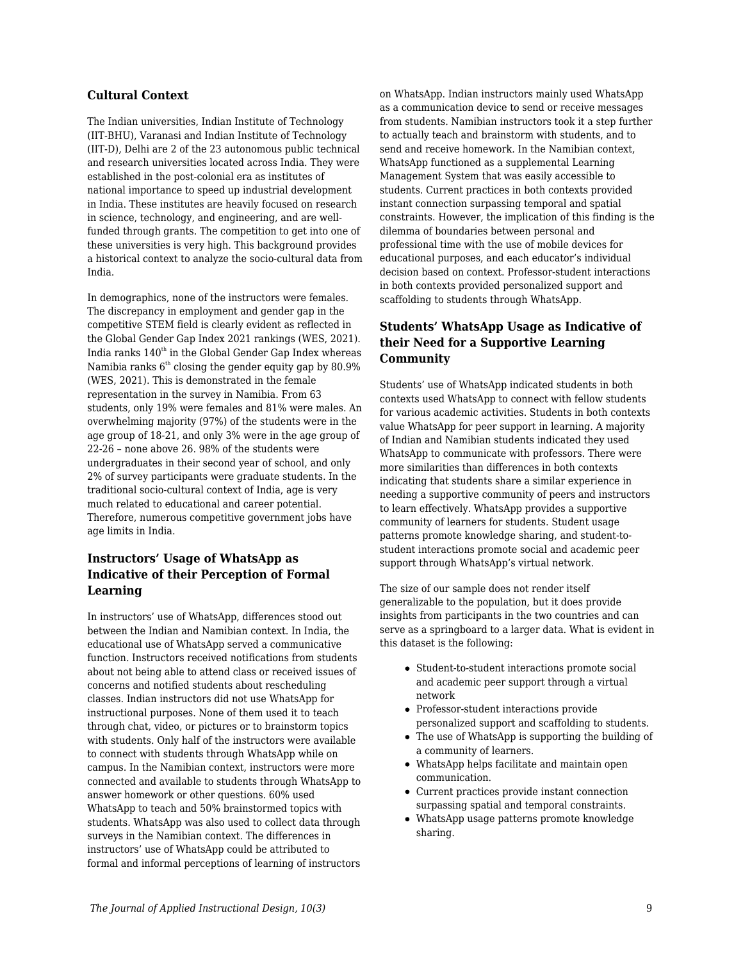### **Cultural Context**

The Indian universities, Indian Institute of Technology (IIT-BHU), Varanasi and Indian Institute of Technology (IIT-D), Delhi are 2 of the 23 autonomous public technical and research universities located across India. They were established in the post-colonial era as institutes of national importance to speed up industrial development in India. These institutes are heavily focused on research in science, technology, and engineering, and are wellfunded through grants. The competition to get into one of these universities is very high. This background provides a historical context to analyze the socio-cultural data from India.

In demographics, none of the instructors were females. The discrepancy in employment and gender gap in the competitive STEM field is clearly evident as reflected in the Global Gender Gap Index 2021 rankings (WES, 2021). India ranks  $140<sup>th</sup>$  in the Global Gender Gap Index whereas Namibia ranks  $6<sup>th</sup>$  closing the gender equity gap by 80.9% (WES, 2021). This is demonstrated in the female representation in the survey in Namibia. From 63 students, only 19% were females and 81% were males. An overwhelming majority (97%) of the students were in the age group of 18-21, and only 3% were in the age group of 22-26 – none above 26. 98% of the students were undergraduates in their second year of school, and only 2% of survey participants were graduate students. In the traditional socio-cultural context of India, age is very much related to educational and career potential. Therefore, numerous competitive government jobs have age limits in India.

### **Instructors' Usage of WhatsApp as Indicative of their Perception of Formal Learning**

In instructors' use of WhatsApp, differences stood out between the Indian and Namibian context. In India, the educational use of WhatsApp served a communicative function. Instructors received notifications from students about not being able to attend class or received issues of concerns and notified students about rescheduling classes. Indian instructors did not use WhatsApp for instructional purposes. None of them used it to teach through chat, video, or pictures or to brainstorm topics with students. Only half of the instructors were available to connect with students through WhatsApp while on campus. In the Namibian context, instructors were more connected and available to students through WhatsApp to answer homework or other questions. 60% used WhatsApp to teach and 50% brainstormed topics with students. WhatsApp was also used to collect data through surveys in the Namibian context. The differences in instructors' use of WhatsApp could be attributed to formal and informal perceptions of learning of instructors on WhatsApp. Indian instructors mainly used WhatsApp as a communication device to send or receive messages from students. Namibian instructors took it a step further to actually teach and brainstorm with students, and to send and receive homework. In the Namibian context, WhatsApp functioned as a supplemental Learning Management System that was easily accessible to students. Current practices in both contexts provided instant connection surpassing temporal and spatial constraints. However, the implication of this finding is the dilemma of boundaries between personal and professional time with the use of mobile devices for educational purposes, and each educator's individual decision based on context. Professor-student interactions in both contexts provided personalized support and scaffolding to students through WhatsApp.

### **Students' WhatsApp Usage as Indicative of their Need for a Supportive Learning Community**

Students' use of WhatsApp indicated students in both contexts used WhatsApp to connect with fellow students for various academic activities. Students in both contexts value WhatsApp for peer support in learning. A majority of Indian and Namibian students indicated they used WhatsApp to communicate with professors. There were more similarities than differences in both contexts indicating that students share a similar experience in needing a supportive community of peers and instructors to learn effectively. WhatsApp provides a supportive community of learners for students. Student usage patterns promote knowledge sharing, and student-tostudent interactions promote social and academic peer support through WhatsApp's virtual network.

The size of our sample does not render itself generalizable to the population, but it does provide insights from participants in the two countries and can serve as a springboard to a larger data. What is evident in this dataset is the following:

- Student-to-student interactions promote social and academic peer support through a virtual network
- Professor-student interactions provide personalized support and scaffolding to students.
- The use of WhatsApp is supporting the building of a community of learners.
- WhatsApp helps facilitate and maintain open communication.
- Current practices provide instant connection surpassing spatial and temporal constraints.
- WhatsApp usage patterns promote knowledge sharing.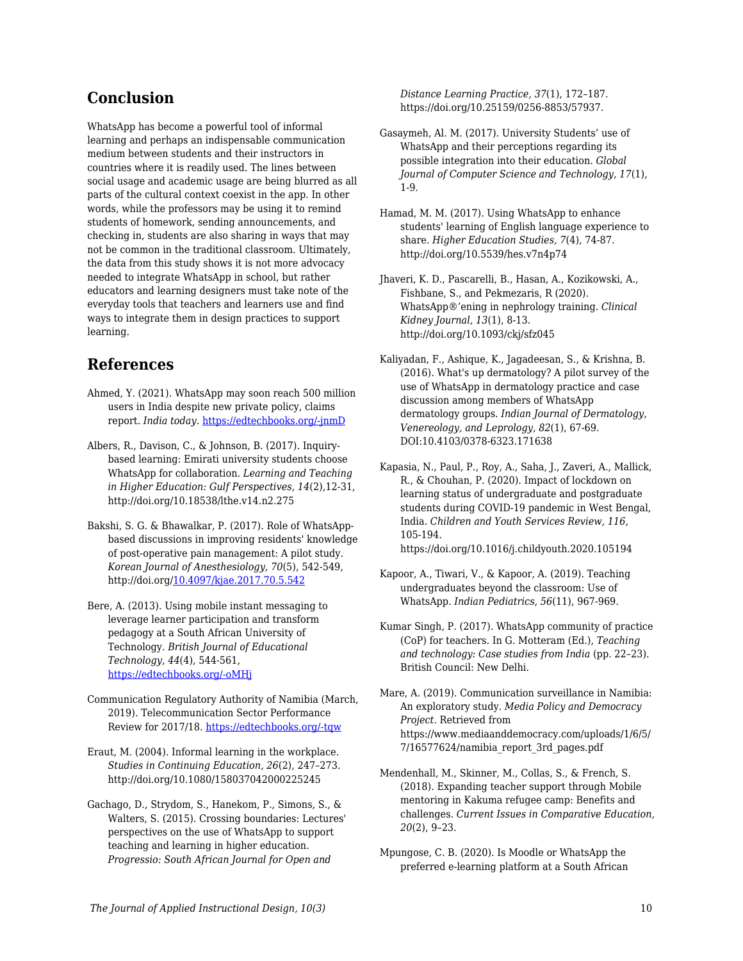# **Conclusion**

WhatsApp has become a powerful tool of informal learning and perhaps an indispensable communication medium between students and their instructors in countries where it is readily used. The lines between social usage and academic usage are being blurred as all parts of the cultural context coexist in the app. In other words, while the professors may be using it to remind students of homework, sending announcements, and checking in, students are also sharing in ways that may not be common in the traditional classroom. Ultimately, the data from this study shows it is not more advocacy needed to integrate WhatsApp in school, but rather educators and learning designers must take note of the everyday tools that teachers and learners use and find ways to integrate them in design practices to support learning.

# **References**

- Ahmed, Y. (2021). WhatsApp may soon reach 500 million users in India despite new private policy, claims report. *India today.* [https://edtechbooks.org/-jnmD](https://www.indiatoday.in/technology/news/story/whatsapp-may-soon-touch-500-million-users-in-india-despite-new-privacy-policy-claims-report-1758344-2021-01-12)
- Albers, R., Davison, C., & Johnson, B. (2017). Inquirybased learning: Emirati university students choose WhatsApp for collaboration. *Learning and Teaching in Higher Education: Gulf Perspectives*, *14*(2),12-31, http://doi.org/10.18538/lthe.v14.n2.275
- Bakshi, S. G. & Bhawalkar, P. (2017). Role of WhatsAppbased discussions in improving residents' knowledge of post-operative pain management: A pilot study. *Korean Journal of Anesthesiology, 70*(5), 542-549, http://doi.org/[10.4097/kjae.2017.70.5.542](https://dx.doi.org/10.4097%2Fkjae.2017.70.5.542)
- Bere, A. (2013). Using mobile instant messaging to leverage learner participation and transform pedagogy at a South African University of Technology. *British Journal of Educational Technology*, *44*(4), 544-561, [https://edtechbooks.org/-oMHj](https://doi.org/10.1111/bjet.12057)
- Communication Regulatory Authority of Namibia (March, 2019). Telecommunication Sector Performance Review for 2017/18. [https://edtechbooks.org/-tqw](https://www.cran.na/wp-content/uploads/2019/12/CRAN_Telecom_SPR_2018.pdf)
- Eraut, M. (2004). Informal learning in the workplace. *Studies in Continuing Education, 26*(2), 247–273. http://doi.org/10.1080/158037042000225245
- Gachago, D., Strydom, S., Hanekom, P., Simons, S., & Walters, S. (2015). Crossing boundaries: Lectures' perspectives on the use of WhatsApp to support teaching and learning in higher education. *Progressio: South African Journal for Open and*

*Distance Learning Practice, 37*(1), 172–187. https://doi.org/10.25159/0256-8853/57937.

- Gasaymeh, Al. M. (2017). University Students' use of WhatsApp and their perceptions regarding its possible integration into their education. *Global Journal of Computer Science and Technology, 17*(1), 1-9.
- Hamad, M. M. (2017). Using WhatsApp to enhance students' learning of English language experience to share. *Higher Education Studies, 7*(4), 74-87. http://doi.org/10.5539/hes.v7n4p74
- Jhaveri, K. D., Pascarelli, B., Hasan, A., Kozikowski, A., Fishbane, S., and Pekmezaris, R (2020). WhatsApp®'ening in nephrology training. *Clinical Kidney Journal, 13*(1), 8-13. http://doi.org/10.1093/ckj/sfz045
- Kaliyadan, F., Ashique, K., Jagadeesan, S., & Krishna, B. (2016). What's up dermatology? A pilot survey of the use of WhatsApp in dermatology practice and case discussion among members of WhatsApp dermatology groups. *Indian Journal of Dermatology, Venereology, and Leprology, 82*(1), 67-69. DOI:10.4103/0378-6323.171638
- Kapasia, N., Paul, P., Roy, A., Saha, J., Zaveri, A., Mallick, R., & Chouhan, P. (2020). Impact of lockdown on learning status of undergraduate and postgraduate students during COVID-19 pandemic in West Bengal, India. *Children and Youth Services Review, 116*, 105-194. https://doi.org/10.1016/j.childyouth.2020.105194
- Kapoor, A., Tiwari, V., & Kapoor, A. (2019). Teaching undergraduates beyond the classroom: Use of WhatsApp. *Indian Pediatrics, 56*(11), 967-969.
- Kumar Singh, P. (2017). WhatsApp community of practice (CoP) for teachers. In G. Motteram (Ed.), *Teaching and technology: Case studies from India* (pp. 22–23). British Council: New Delhi.
- Mare, A. (2019). Communication surveillance in Namibia: An exploratory study. *Media Policy and Democracy Project*. Retrieved from https://www.mediaanddemocracy.com/uploads/1/6/5/ 7/16577624/namibia\_report\_3rd\_pages.pdf
- Mendenhall, M., Skinner, M., Collas, S., & French, S. (2018). Expanding teacher support through Mobile mentoring in Kakuma refugee camp: Benefits and challenges. *Current Issues in Comparative Education, 20*(2), 9–23.
- Mpungose, C. B. (2020). Is Moodle or WhatsApp the preferred e-learning platform at a South African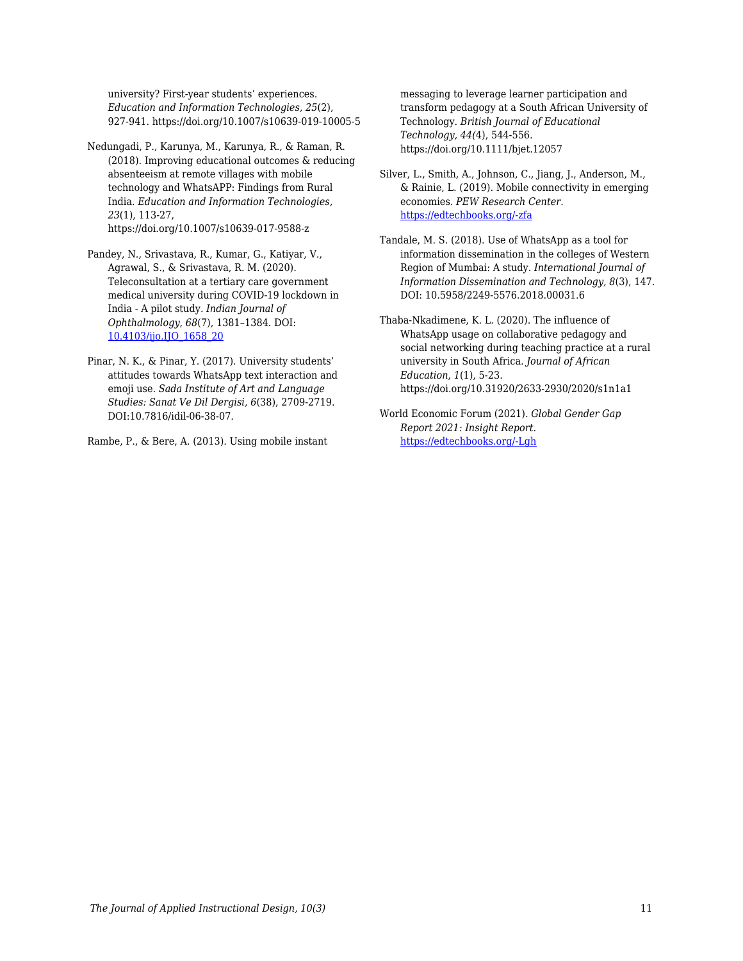university? First-year students' experiences. *Education and Information Technologies, 25*(2), 927-941. https://doi.org/10.1007/s10639-019-10005-5

- Nedungadi, P., Karunya, M., Karunya, R., & Raman, R. (2018). Improving educational outcomes & reducing absenteeism at remote villages with mobile technology and WhatsAPP: Findings from Rural India. *Education and Information Technologies, 23*(1), 113-27, https://doi.org/10.1007/s10639-017-9588-z
- Pandey, N., Srivastava, R., Kumar, G., Katiyar, V., Agrawal, S., & Srivastava, R. M. (2020). Teleconsultation at a tertiary care government medical university during COVID-19 lockdown in India - A pilot study. *Indian Journal of Ophthalmology*, *68*(7), 1381–1384. DOI: [10.4103/ijo.IJO\\_1658\\_20](https://doi.org/10.4103/ijo.ijo_1658_20)
- Pinar, N. K., & Pinar, Y. (2017). University students' attitudes towards WhatsApp text interaction and emoji use. *Sada Institute of Art and Language Studies: Sanat Ve Dil Dergisi, 6*(38), 2709-2719. DOI:10.7816/idil-06-38-07.

Rambe, P., & Bere, A. (2013). Using mobile instant

messaging to leverage learner participation and transform pedagogy at a South African University of Technology. *British Journal of Educational Technology, 44(*4), 544-556. https://doi.org/10.1111/bjet.12057

- Silver, L., Smith, A., Johnson, C., Jiang, J., Anderson, M., & Rainie, L. (2019). Mobile connectivity in emerging economies. *PEW Research Center.* [https://edtechbooks.org/-zfa](https://www.pewresearch.org/internet/2019/03/07/use-of-smartphones-and-social-media-is-common-across-most-emerging-economies/#table)
- Tandale, M. S. (2018). Use of WhatsApp as a tool for information dissemination in the colleges of Western Region of Mumbai: A study. *International Journal of Information Dissemination and Technology, 8*(3), 147. DOI: 10.5958/2249-5576.2018.00031.6
- Thaba-Nkadimene, K. L. (2020). The influence of WhatsApp usage on collaborative pedagogy and social networking during teaching practice at a rural university in South Africa. *Journal of African Education*, *1*(1), 5-23. https://doi.org/10.31920/2633-2930/2020/s1n1a1
- World Economic Forum (2021). *Global Gender Gap Report 2021: Insight Report.* [https://edtechbooks.org/-Lgh](http://www3.weforum.org/docs/WEF_GGGR_2021.pdf)